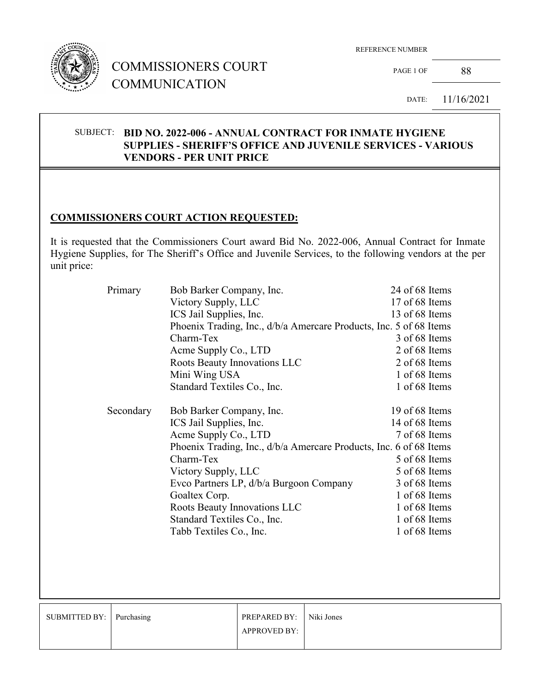

## COMMISSIONERS COURT COMMUNICATION

REFERENCE NUMBER

PAGE 1 OF 88

DATE: 11/16/2021

#### SUBJECT: **BID NO. 2022-006 - ANNUAL CONTRACT FOR INMATE HYGIENE SUPPLIES - SHERIFF'S OFFICE AND JUVENILE SERVICES - VARIOUS VENDORS - PER UNIT PRICE**

### **COMMISSIONERS COURT ACTION REQUESTED:**

It is requested that the Commissioners Court award Bid No. 2022-006, Annual Contract for Inmate Hygiene Supplies, for The Sheriff's Office and Juvenile Services, to the following vendors at the per unit price:

| Primary   | Bob Barker Company, Inc.                                           | 24 of 68 Items |
|-----------|--------------------------------------------------------------------|----------------|
|           | Victory Supply, LLC                                                | 17 of 68 Items |
|           | ICS Jail Supplies, Inc.                                            | 13 of 68 Items |
|           | Phoenix Trading, Inc., d/b/a Amercare Products, Inc. 5 of 68 Items |                |
|           | Charm-Tex                                                          | 3 of 68 Items  |
|           | Acme Supply Co., LTD                                               | 2 of 68 Items  |
|           | Roots Beauty Innovations LLC                                       | 2 of 68 Items  |
|           | Mini Wing USA                                                      | 1 of 68 Items  |
|           | Standard Textiles Co., Inc.                                        | 1 of 68 Items  |
| Secondary | Bob Barker Company, Inc.                                           | 19 of 68 Items |
|           | ICS Jail Supplies, Inc.                                            | 14 of 68 Items |
|           | Acme Supply Co., LTD                                               | 7 of 68 Items  |
|           | Phoenix Trading, Inc., d/b/a Amercare Products, Inc. 6 of 68 Items |                |
|           | Charm-Tex                                                          | 5 of 68 Items  |
|           | Victory Supply, LLC                                                | 5 of 68 Items  |
|           | Evco Partners LP, d/b/a Burgoon Company                            | 3 of 68 Items  |
|           | Goaltex Corp.                                                      | 1 of 68 Items  |
|           | Roots Beauty Innovations LLC                                       | 1 of 68 Items  |
|           | Standard Textiles Co., Inc.                                        | 1 of 68 Items  |
|           | Tabb Textiles Co., Inc.                                            | 1 of 68 Items  |
|           |                                                                    |                |

| SUBMITTED BY:   Purchasing | <b>PREPARED BY:</b> Niki Jones<br><b>APPROVED BY:</b> |  |
|----------------------------|-------------------------------------------------------|--|
|                            |                                                       |  |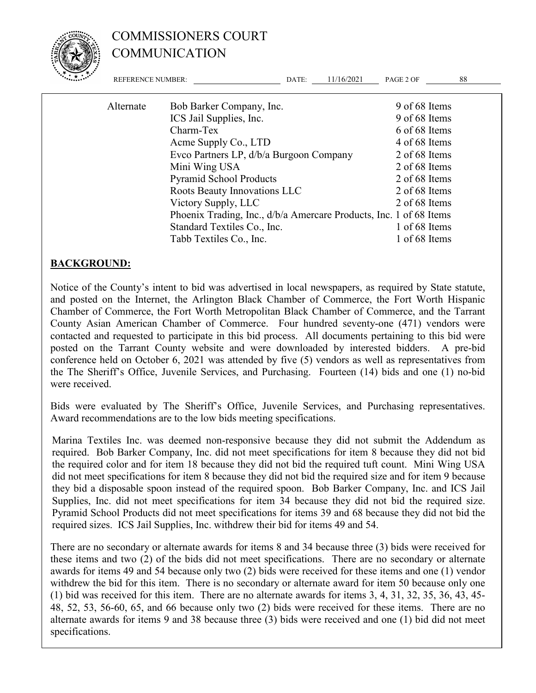

# COMMISSIONERS COURT COMMUNICATION

| <b>REFERENCE NUMBER:</b> |                                                                    | DATE: | 11/16/2021    | PAGE 2 OF     | 88 |
|--------------------------|--------------------------------------------------------------------|-------|---------------|---------------|----|
| Alternate                | Bob Barker Company, Inc.                                           |       |               | 9 of 68 Items |    |
|                          | ICS Jail Supplies, Inc.                                            |       |               | 9 of 68 Items |    |
|                          | Charm-Tex                                                          |       |               | 6 of 68 Items |    |
|                          | Acme Supply Co., LTD                                               |       |               | 4 of 68 Items |    |
|                          | Evco Partners LP, d/b/a Burgoon Company                            |       | 2 of 68 Items |               |    |
|                          | Mini Wing USA                                                      |       |               | 2 of 68 Items |    |
|                          | <b>Pyramid School Products</b>                                     |       |               | 2 of 68 Items |    |
|                          | Roots Beauty Innovations LLC                                       |       |               | 2 of 68 Items |    |
|                          | Victory Supply, LLC                                                |       |               | 2 of 68 Items |    |
|                          | Phoenix Trading, Inc., d/b/a Amercare Products, Inc. 1 of 68 Items |       |               |               |    |
|                          | Standard Textiles Co., Inc.                                        |       |               | 1 of 68 Items |    |
|                          | Tabb Textiles Co., Inc.                                            |       |               | 1 of 68 Items |    |

#### **BACKGROUND:**

Notice of the County's intent to bid was advertised in local newspapers, as required by State statute, and posted on the Internet, the Arlington Black Chamber of Commerce, the Fort Worth Hispanic Chamber of Commerce, the Fort Worth Metropolitan Black Chamber of Commerce, and the Tarrant County Asian American Chamber of Commerce. Four hundred seventy-one (471) vendors were contacted and requested to participate in this bid process. All documents pertaining to this bid were posted on the Tarrant County website and were downloaded by interested bidders. A pre-bid conference held on October 6, 2021 was attended by five (5) vendors as well as representatives from the The Sheriff's Office, Juvenile Services, and Purchasing. Fourteen (14) bids and one (1) no-bid were received.

Bids were evaluated by The Sheriff's Office, Juvenile Services, and Purchasing representatives. Award recommendations are to the low bids meeting specifications.

Marina Textiles Inc. was deemed non-responsive because they did not submit the Addendum as required. Bob Barker Company, Inc. did not meet specifications for item 8 because they did not bid the required color and for item 18 because they did not bid the required tuft count. Mini Wing USA did not meet specifications for item 8 because they did not bid the required size and for item 9 because they bid a disposable spoon instead of the required spoon. Bob Barker Company, Inc. and ICS Jail Supplies, Inc. did not meet specifications for item 34 because they did not bid the required size. Pyramid School Products did not meet specifications for items 39 and 68 because they did not bid the required sizes. ICS Jail Supplies, Inc. withdrew their bid for items 49 and 54.

There are no secondary or alternate awards for items 8 and 34 because three (3) bids were received for these items and two (2) of the bids did not meet specifications. There are no secondary or alternate awards for items 49 and 54 because only two (2) bids were received for these items and one (1) vendor withdrew the bid for this item. There is no secondary or alternate award for item 50 because only one (1) bid was received for this item. There are no alternate awards for items 3, 4, 31, 32, 35, 36, 43, 45- 48, 52, 53, 56-60, 65, and 66 because only two (2) bids were received for these items. There are no alternate awards for items 9 and 38 because three (3) bids were received and one (1) bid did not meet specifications.